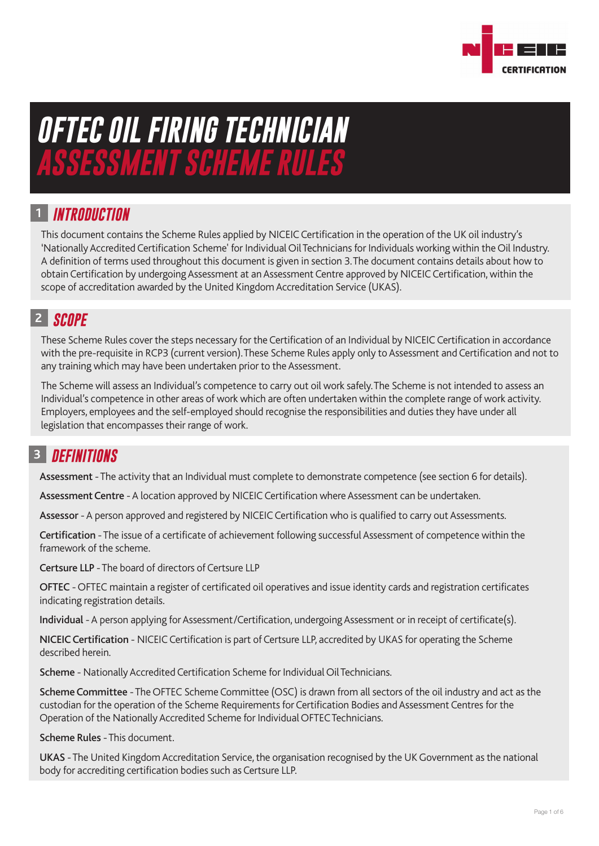

# *OFTEC OIL FIRING TECHNICIAN ASSESSMENT SCHEME RULES*

# *INTRODUCTION* **1**

This document contains the Scheme Rules applied by NICEIC Certification in the operation of the UK oil industry's 'Nationally Accredited Certification Scheme' for Individual Oil Technicians for Individuals working within the Oil Industry. A definition of terms used throughout this document is given in section 3.The document contains details about how to obtain Certification by undergoing Assessment at an Assessment Centre approved by NICEIC Certification, within the scope of accreditation awarded by the United Kingdom Accreditation Service (UKAS).

# *SCOPE*  **2**

These Scheme Rules cover the steps necessary for the Certification of an Individual by NICEIC Certification in accordance with the pre-requisite in RCP3 (current version).These Scheme Rules apply only to Assessment and Certification and not to any training which may have been undertaken prior to the Assessment.

The Scheme will assess an Individual's competence to carry out oil work safely.The Scheme is not intended to assess an Individual's competence in other areas of work which are often undertaken within the complete range of work activity. Employers, employees and the self-employed should recognise the responsibilities and duties they have under all legislation that encompasses their range of work.

# *DEFINITIONS* **3**

Assessment - The activity that an Individual must complete to demonstrate competence (see section 6 for details).

Assessment Centre - A location approved by NICEIC Certification where Assessment can be undertaken.

Assessor - A person approved and registered by NICEIC Certification who is qualified to carry out Assessments.

Certification - The issue of a certificate of achievement following successful Assessment of competence within the framework of the scheme.

Certsure LLP - The board of directors of Certsure LLP

OFTEC - OFTEC maintain a register of certificated oil operatives and issue identity cards and registration certificates indicating registration details.

Individual - A person applying for Assessment/Certification, undergoing Assessment or in receipt of certificate(s).

NICEIC Certification - NICEIC Certification is part of Certsure LLP, accredited by UKAS for operating the Scheme described herein.

Scheme - Nationally Accredited Certification Scheme for Individual Oil Technicians.

Scheme Committee - The OFTEC Scheme Committee (OSC) is drawn from all sectors of the oil industry and act as the custodian for the operation of the Scheme Requirements for Certification Bodies and Assessment Centres for the Operation of the Nationally Accredited Scheme for Individual OFTEC Technicians.

Scheme Rules - This document.

UKAS - The United Kingdom Accreditation Service, the organisation recognised by the UK Government as the national body for accrediting certification bodies such as Certsure LLP.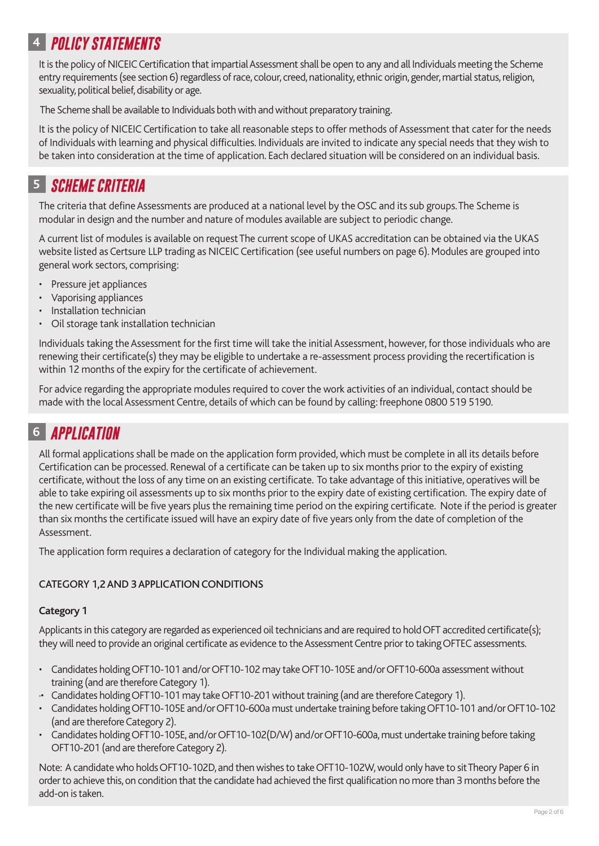# *POLICY STATEMENTS* **4**

It is the policy of NICEIC Certification that impartial Assessment shall be open to any and all Individuals meeting the Scheme entry requirements (see section 6) regardless of race, colour, creed, nationality, ethnic origin, gender, martial status, religion, sexuality, political belief, disability or age.

The Scheme shall be available to Individuals both with and without preparatory training.

It is the policy of NICEIC Certification to take all reasonable steps to offer methods of Assessment that cater for the needs of Individuals with learning and physical difficulties. Individuals are invited to indicate any special needs that they wish to be taken into consideration at the time of application. Each declared situation will be considered on an individual basis.

# *SCHEME CRITERIA* **5**

The criteria that define Assessments are produced at a national level by the OSC and its sub groups.The Scheme is modular in design and the number and nature of modules available are subject to periodic change.

A current list of modules is available on request The current scope of UKAS accreditation can be obtained via the UKAS website listed as Certsure LLP trading as NICEIC Certification (see useful numbers on page 6). Modules are grouped into general work sectors, comprising:

- Pressure jet appliances
- Vaporising appliances
- Installation technician
- Oil storage tank installation technician

Individuals taking the Assessment for the first time will take the initial Assessment, however, for those individuals who are renewing their certificate(s) they may be eligible to undertake a re-assessment process providing the recertification is within 12 months of the expiry for the certificate of achievement.

For advice regarding the appropriate modules required to cover the work activities of an individual, contact should be made with the local Assessment Centre, details of which can be found by calling: freephone 0800 519 5190.

# *APPLICATION* **6**

All formal applications shall be made on the application form provided, which must be complete in all its details before Certification can be processed. Renewal of a certificate can be taken up to six months prior to the expiry of existing certificate, without the loss of any time on an existing certificate. To take advantage of this initiative, operatives will be able to take expiring oil assessments up to six months prior to the expiry date of existing certification. The expiry date of the new certificate will be five years plus the remaining time period on the expiring certificate. Note if the period is greater than six months the certificate issued will have an expiry date of five years only from the date of completion of the Assessment.

The application form requires a declaration of category for the Individual making the application.

#### CATEGORY 1,2 AND 3 APPLICATION CONDITIONS

#### **Category 1**

Applicants in this category are regarded as experienced oil technicians and are required to hold OFT accredited certificate(s); they will need to provide an original certificate as evidence to the Assessment Centre prior to taking OFTEC assessments.

- Candidates holding OFT10-101 and/or OFT10-102 may take OFT10-105E and/or OFT10-600a assessment without training (and are therefore Category 1).
- ·• Candidates holding OFT10-101 may take OFT10-201 without training (and are therefore Category 1).
- Candidates holding OFT10-105E and/or OFT10-600a must undertake training before taking OFT10-101 and/or OFT10-102 (and are therefore Category 2).
- Candidates holding OFT10-105E, and/or OFT10-102(D/W) and/or OFT10-600a, must undertake training before taking OFT10-201 (and are therefore Category 2).

Note: A candidate who holds OFT10-102D, and then wishes to take OFT10-102W, would only have to sit Theory Paper 6 in order to achieve this, on condition that the candidate had achieved the first qualification no more than 3 months before the add-on is taken.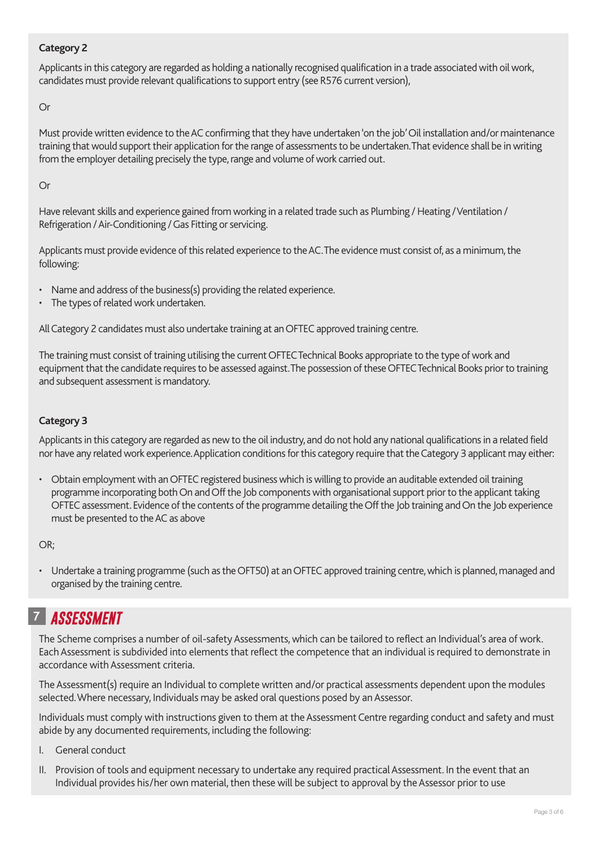#### **Category 2**

Applicants in this category are regarded as holding a nationally recognised qualification in a trade associated with oil work, candidates must provide relevant qualifications to support entry (see R576 current version),

Or

Must provide written evidence to the AC confirming that they have undertaken 'on the job'Oil installation and/or maintenance training that would support their application for the range of assessments to be undertaken.That evidence shall be in writing from the employer detailing precisely the type, range and volume of work carried out.

Or

Have relevant skills and experience gained from working in a related trade such as Plumbing / Heating / Ventilation / Refrigeration / Air-Conditioning / Gas Fitting or servicing.

Applicants must provide evidence of this related experience to the AC.The evidence must consist of, as a minimum, the following:

- Name and address of the business(s) providing the related experience.
- The types of related work undertaken.

All Category 2 candidates must also undertake training at an OFTEC approved training centre.

The training must consist of training utilising the current OFTEC Technical Books appropriate to the type of work and equipment that the candidate requires to be assessed against.The possession of these OFTEC Technical Books prior to training and subsequent assessment is mandatory.

#### **Category 3**

Applicants in this category are regarded as new to the oil industry, and do not hold any national qualifications in a related field nor have any related work experience.Application conditions for this category require that the Category 3 applicant may either:

• Obtain employment with an OFTEC registered business which is willing to provide an auditable extended oil training programme incorporating both On and Off the Job components with organisational support prior to the applicant taking OFTEC assessment. Evidence of the contents of the programme detailing the Off the Job training and On the Job experience must be presented to the AC as above

OR;

• Undertake a training programme (such as the OFT50) at an OFTEC approved training centre, which is planned, managed and organised by the training centre.

# *ASSESSMENT* **7**

The Scheme comprises a number of oil-safety Assessments, which can be tailored to reflect an Individual's area of work. Each Assessment is subdivided into elements that reflect the competence that an individual is required to demonstrate in accordance with Assessment criteria.

The Assessment(s) require an Individual to complete written and/or practical assessments dependent upon the modules selected.Where necessary, Individuals may be asked oral questions posed by an Assessor.

Individuals must comply with instructions given to them at the Assessment Centre regarding conduct and safety and must abide by any documented requirements, including the following:

- I. General conduct
- II. Provision of tools and equipment necessary to undertake any required practical Assessment. In the event that an Individual provides his/her own material, then these will be subject to approval by the Assessor prior to use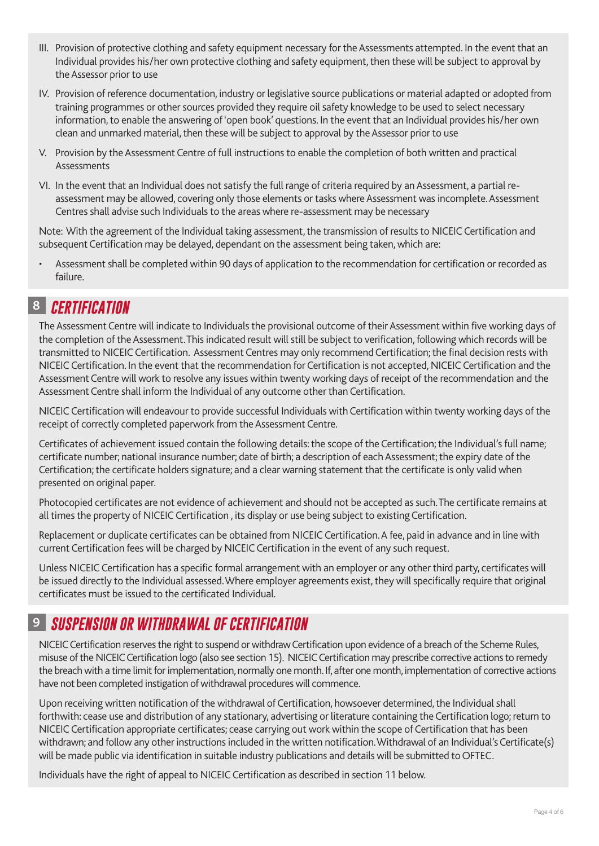- III. Provision of protective clothing and safety equipment necessary for the Assessments attempted. In the event that an Individual provides his/her own protective clothing and safety equipment, then these will be subject to approval by the Assessor prior to use
- IV. Provision of reference documentation, industry or legislative source publications or material adapted or adopted from training programmes or other sources provided they require oil safety knowledge to be used to select necessary information, to enable the answering of 'open book' questions. In the event that an Individual provides his/her own clean and unmarked material, then these will be subject to approval by the Assessor prior to use
- V. Provision by the Assessment Centre of full instructions to enable the completion of both written and practical Assessments
- VI. In the event that an Individual does not satisfy the full range of criteria required by an Assessment, a partial reassessment may be allowed, covering only those elements or tasks where Assessment was incomplete. Assessment Centres shall advise such Individuals to the areas where re-assessment may be necessary

Note: With the agreement of the Individual taking assessment, the transmission of results to NICEIC Certification and subsequent Certification may be delayed, dependant on the assessment being taken, which are:

• Assessment shall be completed within 90 days of application to the recommendation for certification or recorded as failure.

#### *CERTIFICATION* **8**

The Assessment Centre will indicate to Individuals the provisional outcome of their Assessment within five working days of the completion of the Assessment.This indicated result will still be subject to verification, following which records will be transmitted to NICEIC Certification. Assessment Centres may only recommend Certification; the final decision rests with NICEIC Certification. In the event that the recommendation for Certification is not accepted, NICEIC Certification and the Assessment Centre will work to resolve any issues within twenty working days of receipt of the recommendation and the Assessment Centre shall inform the Individual of any outcome other than Certification.

NICEIC Certification will endeavour to provide successful Individuals with Certification within twenty working days of the receipt of correctly completed paperwork from the Assessment Centre.

Certificates of achievement issued contain the following details: the scope of the Certification; the Individual's full name; certificate number; national insurance number; date of birth; a description of each Assessment; the expiry date of the Certification; the certificate holders signature; and a clear warning statement that the certificate is only valid when presented on original paper.

Photocopied certificates are not evidence of achievement and should not be accepted as such.The certificate remains at all times the property of NICEIC Certification , its display or use being subject to existing Certification.

Replacement or duplicate certificates can be obtained from NICEIC Certification.A fee, paid in advance and in line with current Certification fees will be charged by NICEIC Certification in the event of any such request.

Unless NICEIC Certification has a specific formal arrangement with an employer or any other third party, certificates will be issued directly to the Individual assessed.Where employer agreements exist, they will specifically require that original certificates must be issued to the certificated Individual.

# *SUSPENSION OR WITHDRAWAL OF CERTIFICATION* **9**

NICEIC Certification reserves the right to suspend or withdraw Certification upon evidence of a breach of the Scheme Rules, misuse of the NICEIC Certification logo (also see section 15). NICEIC Certification may prescribe corrective actions to remedy the breach with a time limit for implementation, normally one month. If, after one month, implementation of corrective actions have not been completed instigation of withdrawal procedures will commence.

Upon receiving written notification of the withdrawal of Certification, howsoever determined, the Individual shall forthwith: cease use and distribution of any stationary, advertising or literature containing the Certification logo; return to NICEIC Certification appropriate certificates; cease carrying out work within the scope of Certification that has been withdrawn; and follow any other instructions included in the written notification.Withdrawal of an Individual's Certificate(s) will be made public via identification in suitable industry publications and details will be submitted to OFTEC.

Individuals have the right of appeal to NICEIC Certification as described in section 11 below.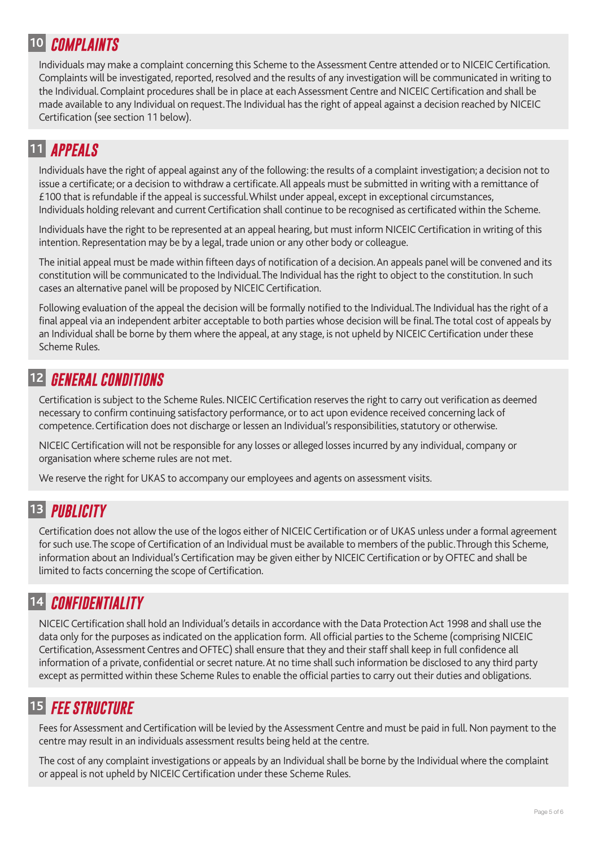### *COMPLAINTS* **10**

Individuals may make a complaint concerning this Scheme to the Assessment Centre attended or to NICEIC Certification. Complaints will be investigated, reported, resolved and the results of any investigation will be communicated in writing to the Individual.Complaint procedures shall be in place at each Assessment Centre and NICEIC Certification and shall be made available to any Individual on request.The Individual has the right of appeal against a decision reached by NICEIC Certification (see section 11 below).

# *APPEALS* **11**

Individuals have the right of appeal against any of the following: the results of a complaint investigation; a decision not to issue a certificate; or a decision to withdraw a certificate.All appeals must be submitted in writing with a remittance of £100 that is refundable if the appeal is successful.Whilst under appeal, except in exceptional circumstances, Individuals holding relevant and current Certification shall continue to be recognised as certificated within the Scheme.

Individuals have the right to be represented at an appeal hearing, but must inform NICEIC Certification in writing of this intention. Representation may be by a legal, trade union or any other body or colleague.

The initial appeal must be made within fifteen days of notification of a decision.An appeals panel will be convened and its constitution will be communicated to the Individual.The Individual has the right to object to the constitution. In such cases an alternative panel will be proposed by NICEIC Certification.

Following evaluation of the appeal the decision will be formally notified to the Individual.The Individual has the right of a final appeal via an independent arbiter acceptable to both parties whose decision will be final.The total cost of appeals by an Individual shall be borne by them where the appeal, at any stage, is not upheld by NICEIC Certification under these Scheme Rules.

# *GENERAL CONDITIONS* **12**

Certification is subject to the Scheme Rules. NICEIC Certification reserves the right to carry out verification as deemed necessary to confirm continuing satisfactory performance, or to act upon evidence received concerning lack of competence.Certification does not discharge or lessen an Individual's responsibilities, statutory or otherwise.

NICEIC Certification will not be responsible for any losses or alleged losses incurred by any individual, company or organisation where scheme rules are not met.

We reserve the right for UKAS to accompany our employees and agents on assessment visits.

# *PUBLICITY* **13**

Certification does not allow the use of the logos either of NICEIC Certification or of UKAS unless under a formal agreement for such use.The scope of Certification of an Individual must be available to members of the public.Through this Scheme, information about an Individual's Certification may be given either by NICEIC Certification or by OFTEC and shall be limited to facts concerning the scope of Certification.

# *CONFIDENTIALITY* **14**

NICEIC Certification shall hold an Individual's details in accordance with the Data Protection Act 1998 and shall use the data only for the purposes as indicated on the application form. All official parties to the Scheme (comprising NICEIC Certification,Assessment Centres and OFTEC) shall ensure that they and their staff shall keep in full confidence all information of a private, confidential or secret nature.At no time shall such information be disclosed to any third party except as permitted within these Scheme Rules to enable the official parties to carry out their duties and obligations.

# *FEE STRUCTURE* **15**

Fees for Assessment and Certification will be levied by the Assessment Centre and must be paid in full. Non payment to the centre may result in an individuals assessment results being held at the centre.

The cost of any complaint investigations or appeals by an Individual shall be borne by the Individual where the complaint or appeal is not upheld by NICEIC Certification under these Scheme Rules.